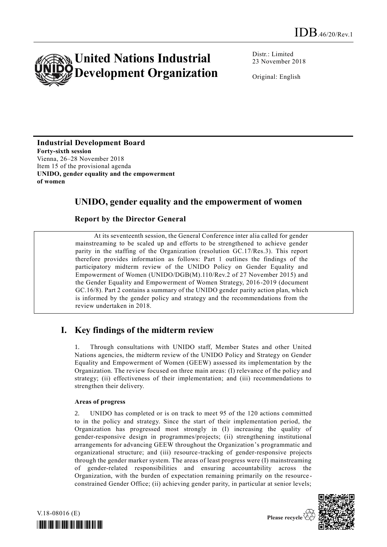

Distr.: Limited 23 November 2018

Original: English

**Industrial Development Board Forty-sixth session** Vienna, 26–28 November 2018 Item 15 of the provisional agenda **UNIDO, gender equality and the empowerment of women**

## **UNIDO, gender equality and the empowerment of women**

### **Report by the Director General**

At its seventeenth session, the General Conference inter alia called for gender mainstreaming to be scaled up and efforts to be strengthened to achieve gender parity in the staffing of the Organization (resolution GC.17/Res.3). This report therefore provides information as follows: Part 1 outlines the findings of the participatory midterm review of the UNIDO Policy on Gender Equality and Empowerment of Women (UNIDO/DGB(M).110/Rev.2 of 27 November 2015) and the Gender Equality and Empowerment of Women Strategy, 2016-2019 (document GC.16/8). Part 2 contains a summary of the UNIDO gender parity action plan, which is informed by the gender policy and strategy and the recommendations from the review undertaken in 2018.

# **I. Key findings of the midterm review**

1. Through consultations with UNIDO staff, Member States and other United Nations agencies, the midterm review of the UNIDO Policy and Strategy on Gender Equality and Empowerment of Women (GEEW) assessed its implementation by the Organization. The review focused on three main areas: (I) relevance of the policy and strategy; (ii) effectiveness of their implementation; and (iii) recommendations to strengthen their delivery.

### **Areas of progress**

2. UNIDO has completed or is on track to meet 95 of the 120 actions committed to in the policy and strategy. Since the start of their implementation period, the Organization has progressed most strongly in (I) increasing the quality of gender-responsive design in programmes/projects; (ii) strengthening institutional arrangements for advancing GEEW throughout the Organization's programmatic and organizational structure; and (iii) resource-tracking of gender-responsive projects through the gender marker system. The areas of least progress were (I) mainstreaming of gender-related responsibilities and ensuring accountability across the Organization, with the burden of expectation remaining primarily on the resource constrained Gender Office; (ii) achieving gender parity, in particular at senior levels;



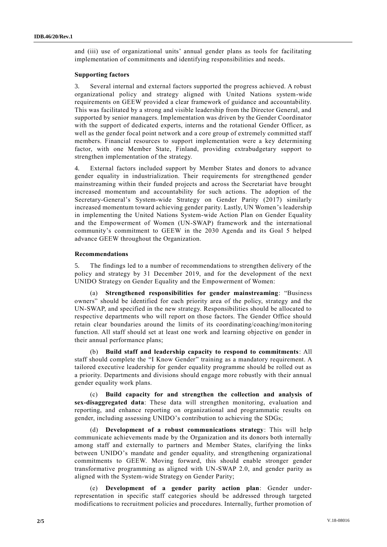and (iii) use of organizational units' annual gender plans as tools for facilitating implementation of commitments and identifying responsibilities and needs.

#### **Supporting factors**

3. Several internal and external factors supported the progress achieved. A robust organizational policy and strategy aligned with United Nations system-wide requirements on GEEW provided a clear framework of guidance and accountability. This was facilitated by a strong and visible leadership from the Director General, and supported by senior managers. Implementation was driven by the Gender Coordinator with the support of dedicated experts, interns and the rotational Gender Officer, as well as the gender focal point network and a core group of extremely committed staff members. Financial resources to support implementation were a key determining factor, with one Member State, Finland, providing extrabudgetary support to strengthen implementation of the strategy.

4. External factors included support by Member States and donors to advance gender equality in industrialization. Their requirements for strengthened gender mainstreaming within their funded projects and across the Secretariat have brought increased momentum and accountability for such actions. The adoption of the Secretary-General's System-wide Strategy on Gender Parity (2017) similarly increased momentum toward achieving gender parity. Lastly, UN Women's leadership in implementing the United Nations System-wide Action Plan on Gender Equality and the Empowerment of Women (UN-SWAP) framework and the international community's commitment to GEEW in the 2030 Agenda and its Goal 5 helped advance GEEW throughout the Organization.

#### **Recommendations**

5. The findings led to a number of recommendations to strengthen delivery of the policy and strategy by 31 December 2019, and for the development of the next UNIDO Strategy on Gender Equality and the Empowerment of Women:

(a) **Strengthened responsibilities for gender mainstreaming**: "Business owners" should be identified for each priority area of the policy, strategy and the UN-SWAP, and specified in the new strategy. Responsibilities should be allocated to respective departments who will report on those factors. The Gender Office should retain clear boundaries around the limits of its coordinating/coaching/monitoring function. All staff should set at least one work and learning objective on gender in their annual performance plans;

(b) **Build staff and leadership capacity to respond to commitments**: All staff should complete the "I Know Gender" training as a mandatory requirement. A tailored executive leadership for gender equality programme should be rolled out as a priority. Departments and divisions should engage more robustly with their annual gender equality work plans.

(c) **Build capacity for and strengthen the collection and analysis of sex-disaggregated data**: These data will strengthen monitoring, evaluation and reporting, and enhance reporting on organizational and programmatic results on gender, including assessing UNIDO's contribution to achieving the SDGs;

(d) **Development of a robust communications strategy**: This will help communicate achievements made by the Organization and its donors both internally among staff and externally to partners and Member States, clarifying the links between UNIDO's mandate and gender equality, and strengthening organizational commitments to GEEW. Moving forward, this should enable stronger gender transformative programming as aligned with UN-SWAP 2.0, and gender parity as aligned with the System-wide Strategy on Gender Parity;

(e) **Development of a gender parity action plan**: Gender underrepresentation in specific staff categories should be addressed through targeted modifications to recruitment policies and procedures. Internally, further promotion of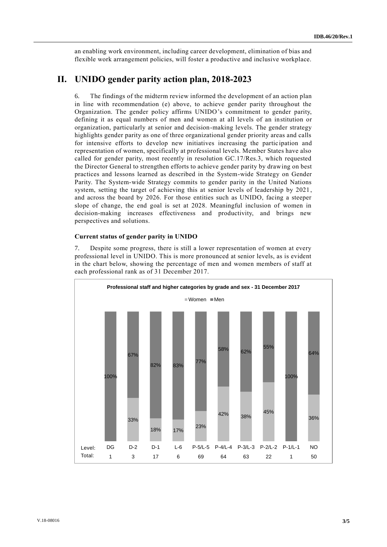an enabling work environment, including career development, elimination of bias and flexible work arrangement policies, will foster a productive and inclusive workplace.

## **II. UNIDO gender parity action plan, 2018-2023**

6. The findings of the midterm review informed the development of an action plan in line with recommendation (e) above, to achieve gender parity throughout the Organization. The gender policy affirms UNIDO's commitment to gender parity, defining it as equal numbers of men and women at all levels of an institution or organization, particularly at senior and decision-making levels. The gender strategy highlights gender parity as one of three organizational gender priority areas and calls for intensive efforts to develop new initiatives increasing the participation and representation of women, specifically at professional levels. Member States have also called for gender parity, most recently in resolution GC.17/Res.3, which requested the Director General to strengthen efforts to achieve gender parity by drawing on best practices and lessons learned as described in the System-wide Strategy on Gender Parity. The System-wide Strategy commits to gender parity in the United Nations system, setting the target of achieving this at senior levels of leadership by 2021, and across the board by 2026. For those entities such as UNIDO, facing a steeper slope of change, the end goal is set at 2028. Meaningful inclusion of women in decision-making increases effectiveness and productivity, and brings new perspectives and solutions.

#### **Current status of gender parity in UNIDO**

7. Despite some progress, there is still a lower representation of women at every professional level in UNIDO. This is more pronounced at senior levels, as is evident in the chart below, showing the percentage of men and women members of staff at each professional rank as of 31 December 2017.

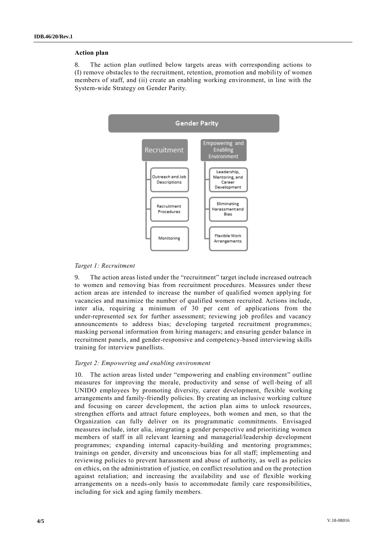#### **Action plan**

8. The action plan outlined below targets areas with corresponding actions to (I) remove obstacles to the recruitment, retention, promotion and mobility of women members of staff, and (ii) create an enabling working environment, in line with the System-wide Strategy on Gender Parity.



#### *Target 1: Recruitment*

9. The action areas listed under the "recruitment" target include increased outreach to women and removing bias from recruitment procedures. Measures under these action areas are intended to increase the number of qualified women applying for vacancies and maximize the number of qualified women recruited. Actions include, inter alia, requiring a minimum of 30 per cent of applications from the under-represented sex for further assessment; reviewing job profiles and vacancy announcements to address bias; developing targeted recruitment programmes; masking personal information from hiring managers; and ensuring gender balance in recruitment panels, and gender-responsive and competency-based interviewing skills training for interview panellists.

#### *Target 2: Empowering and enabling environment*

10. The action areas listed under "empowering and enabling environment" outline measures for improving the morale, productivity and sense of well-being of all UNIDO employees by promoting diversity, career development, flexible working arrangements and family-friendly policies. By creating an inclusive working culture and focusing on career development, the action plan aims to unlock resources, strengthen efforts and attract future employees, both women and men, so that the Organization can fully deliver on its programmatic commitments. Envisaged measures include, inter alia, integrating a gender perspective and prioritizing women members of staff in all relevant learning and managerial/leadership development programmes; expanding internal capacity-building and mentoring programmes; trainings on gender, diversity and unconscious bias for all staff; implementing and reviewing policies to prevent harassment and abuse of authority, as well as policies on ethics, on the administration of justice, on conflict resolution and on the protection against retaliation; and increasing the availability and use of flexible working arrangements on a needs-only basis to accommodate family care responsibilities, including for sick and aging family members.